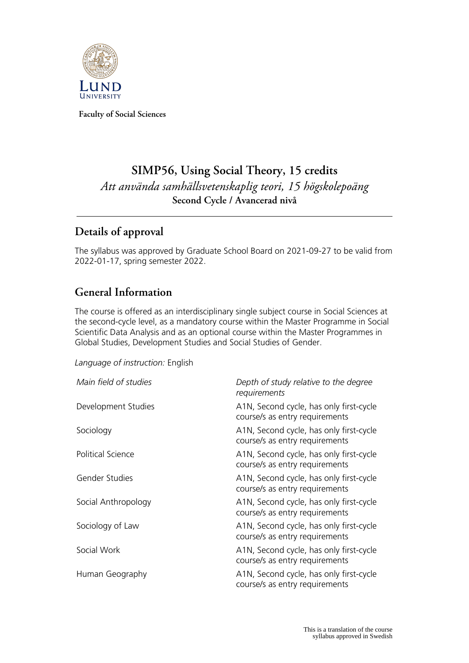

**Faculty of Social Sciences**

# **SIMP56, Using Social Theory, 15 credits** *Att använda samhällsvetenskaplig teori, 15 högskolepoäng* **Second Cycle / Avancerad nivå**

## **Details of approval**

The syllabus was approved by Graduate School Board on 2021-09-27 to be valid from 2022-01-17, spring semester 2022.

## **General Information**

The course is offered as an interdisciplinary single subject course in Social Sciences at the second-cycle level, as a mandatory course within the Master Programme in Social Scientific Data Analysis and as an optional course within the Master Programmes in Global Studies, Development Studies and Social Studies of Gender.

*Language of instruction:* English

| Main field of studies    | Depth of study relative to the degree<br>requirements                     |
|--------------------------|---------------------------------------------------------------------------|
| Development Studies      | A1N, Second cycle, has only first-cycle<br>course/s as entry requirements |
| Sociology                | A1N, Second cycle, has only first-cycle<br>course/s as entry requirements |
| <b>Political Science</b> | A1N, Second cycle, has only first-cycle<br>course/s as entry requirements |
| Gender Studies           | A1N, Second cycle, has only first-cycle<br>course/s as entry requirements |
| Social Anthropology      | A1N, Second cycle, has only first-cycle<br>course/s as entry requirements |
| Sociology of Law         | A1N, Second cycle, has only first-cycle<br>course/s as entry requirements |
| Social Work              | A1N, Second cycle, has only first-cycle<br>course/s as entry requirements |
| Human Geography          | A1N, Second cycle, has only first-cycle<br>course/s as entry requirements |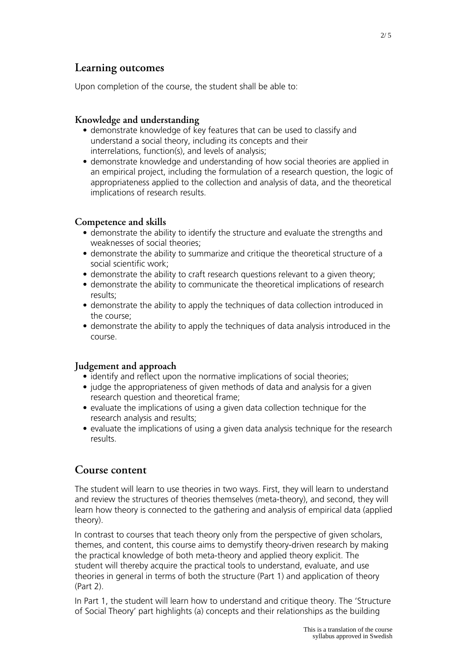### **Learning outcomes**

Upon completion of the course, the student shall be able to:

#### **Knowledge and understanding**

- demonstrate knowledge of key features that can be used to classify and understand a social theory, including its concepts and their interrelations, function(s), and levels of analysis;
- demonstrate knowledge and understanding of how social theories are applied in an empirical project, including the formulation of a research question, the logic of appropriateness applied to the collection and analysis of data, and the theoretical implications of research results.

#### **Competence and skills**

- demonstrate the ability to identify the structure and evaluate the strengths and weaknesses of social theories;
- demonstrate the ability to summarize and critique the theoretical structure of a social scientific work;
- demonstrate the ability to craft research questions relevant to a given theory;
- demonstrate the ability to communicate the theoretical implications of research results;
- demonstrate the ability to apply the techniques of data collection introduced in the course;
- demonstrate the ability to apply the techniques of data analysis introduced in the course.

#### **Judgement and approach**

- identify and reflect upon the normative implications of social theories;
- judge the appropriateness of given methods of data and analysis for a given research question and theoretical frame;
- evaluate the implications of using a given data collection technique for the research analysis and results;
- evaluate the implications of using a given data analysis technique for the research results.

### **Course content**

The student will learn to use theories in two ways. First, they will learn to understand and review the structures of theories themselves (meta-theory), and second, they will learn how theory is connected to the gathering and analysis of empirical data (applied theory).

In contrast to courses that teach theory only from the perspective of given scholars, themes, and content, this course aims to demystify theory-driven research by making the practical knowledge of both meta-theory and applied theory explicit. The student will thereby acquire the practical tools to understand, evaluate, and use theories in general in terms of both the structure (Part 1) and application of theory (Part 2).

In Part 1, the student will learn how to understand and critique theory. The 'Structure of Social Theory' part highlights (a) concepts and their relationships as the building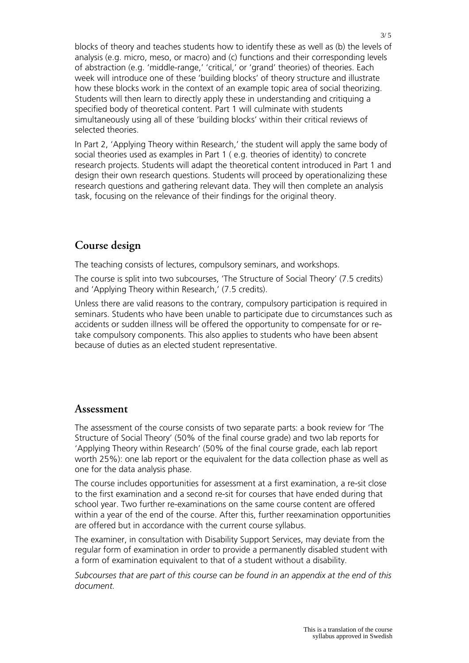blocks of theory and teaches students how to identify these as well as (b) the levels of analysis (e.g. micro, meso, or macro) and (c) functions and their corresponding levels of abstraction (e.g. 'middle-range,' 'critical,' or 'grand' theories) of theories. Each week will introduce one of these 'building blocks' of theory structure and illustrate how these blocks work in the context of an example topic area of social theorizing. Students will then learn to directly apply these in understanding and critiquing a specified body of theoretical content. Part 1 will culminate with students simultaneously using all of these 'building blocks' within their critical reviews of selected theories.

In Part 2, 'Applying Theory within Research,' the student will apply the same body of social theories used as examples in Part 1 ( e.g. theories of identity) to concrete research projects. Students will adapt the theoretical content introduced in Part 1 and design their own research questions. Students will proceed by operationalizing these research questions and gathering relevant data. They will then complete an analysis task, focusing on the relevance of their findings for the original theory.

### **Course design**

The teaching consists of lectures, compulsory seminars, and workshops.

The course is split into two subcourses, 'The Structure of Social Theory' (7.5 credits) and 'Applying Theory within Research,' (7.5 credits).

Unless there are valid reasons to the contrary, compulsory participation is required in seminars. Students who have been unable to participate due to circumstances such as accidents or sudden illness will be offered the opportunity to compensate for or retake compulsory components. This also applies to students who have been absent because of duties as an elected student representative.

### **Assessment**

The assessment of the course consists of two separate parts: a book review for 'The Structure of Social Theory' (50% of the final course grade) and two lab reports for 'Applying Theory within Research' (50% of the final course grade, each lab report worth 25%): one lab report or the equivalent for the data collection phase as well as one for the data analysis phase.

The course includes opportunities for assessment at a first examination, a re-sit close to the first examination and a second re-sit for courses that have ended during that school year. Two further re-examinations on the same course content are offered within a year of the end of the course. After this, further reexamination opportunities are offered but in accordance with the current course syllabus.

The examiner, in consultation with Disability Support Services, may deviate from the regular form of examination in order to provide a permanently disabled student with a form of examination equivalent to that of a student without a disability.

*Subcourses that are part of this course can be found in an appendix at the end of this document.*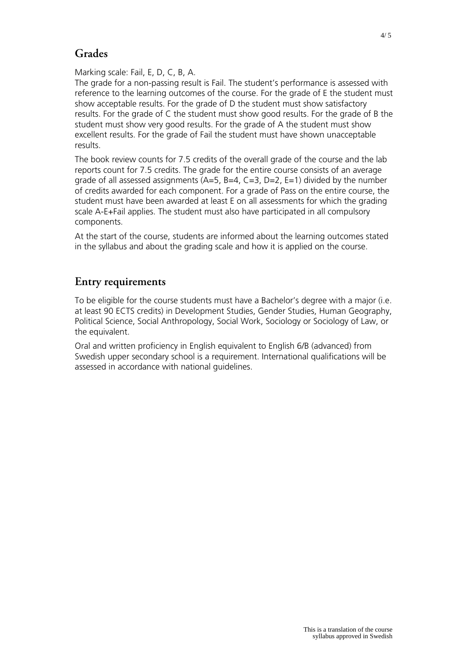## **Grades**

Marking scale: Fail, E, D, C, B, A.

The grade for a non-passing result is Fail. The student's performance is assessed with reference to the learning outcomes of the course. For the grade of E the student must show acceptable results. For the grade of D the student must show satisfactory results. For the grade of C the student must show good results. For the grade of B the student must show very good results. For the grade of A the student must show excellent results. For the grade of Fail the student must have shown unacceptable results.

The book review counts for 7.5 credits of the overall grade of the course and the lab reports count for 7.5 credits. The grade for the entire course consists of an average grade of all assessed assignments (A=5, B=4, C=3, D=2, E=1) divided by the number of credits awarded for each component. For a grade of Pass on the entire course, the student must have been awarded at least E on all assessments for which the grading scale A-E+Fail applies. The student must also have participated in all compulsory components.

At the start of the course, students are informed about the learning outcomes stated in the syllabus and about the grading scale and how it is applied on the course.

## **Entry requirements**

To be eligible for the course students must have a Bachelor's degree with a major (i.e. at least 90 ECTS credits) in Development Studies, Gender Studies, Human Geography, Political Science, Social Anthropology, Social Work, Sociology or Sociology of Law, or the equivalent.

Oral and written proficiency in English equivalent to English 6/B (advanced) from Swedish upper secondary school is a requirement. International qualifications will be assessed in accordance with national guidelines.